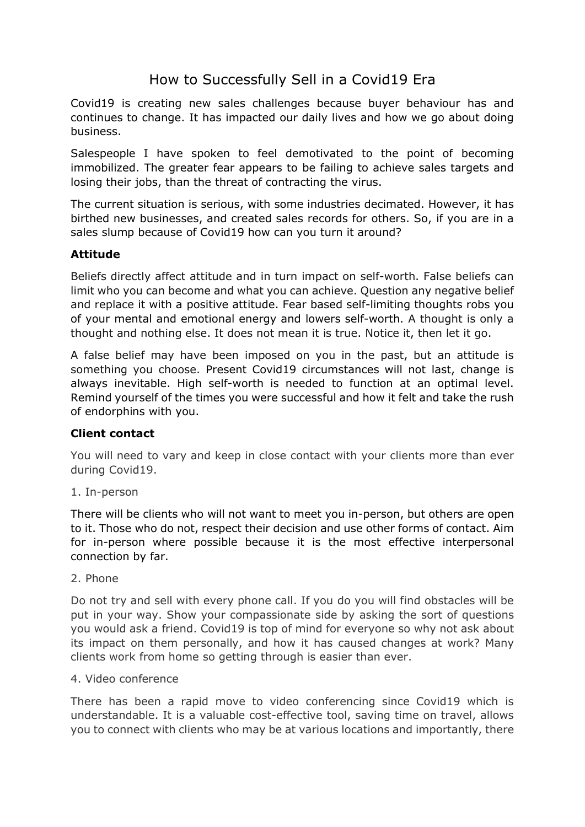# How to Successfully Sell in a Covid19 Era

Covid19 is creating new sales challenges because buyer behaviour has and continues to change. It has impacted our daily lives and how we go about doing business.

Salespeople I have spoken to feel demotivated to the point of becoming immobilized. The greater fear appears to be failing to achieve sales targets and losing their jobs, than the threat of contracting the virus.

The current situation is serious, with some industries decimated. However, it has birthed new businesses, and created sales records for others. So, if you are in a sales slump because of Covid19 how can you turn it around?

## **Attitude**

Beliefs directly affect attitude and in turn impact on self-worth. False beliefs can limit who you can become and what you can achieve. Question any negative belief and replace it with a positive attitude. Fear based self-limiting thoughts robs you of your mental and emotional energy and lowers self-worth. A thought is only a thought and nothing else. It does not mean it is true. Notice it, then let it go.

A false belief may have been imposed on you in the past, but an attitude is something you choose. Present Covid19 circumstances will not last, change is always inevitable. High self-worth is needed to function at an optimal level. Remind yourself of the times you were successful and how it felt and take the rush of endorphins with you.

### **Client contact**

You will need to vary and keep in close contact with your clients more than ever during Covid19.

1. In-person

There will be clients who will not want to meet you in-person, but others are open to it. Those who do not, respect their decision and use other forms of contact. Aim for in-person where possible because it is the most effective interpersonal connection by far.

2. Phone

Do not try and sell with every phone call. If you do you will find obstacles will be put in your way. Show your compassionate side by asking the sort of questions you would ask a friend. Covid19 is top of mind for everyone so why not ask about its impact on them personally, and how it has caused changes at work? Many clients work from home so getting through is easier than ever.

### 4. Video conference

There has been a rapid move to video conferencing since Covid19 which is understandable. It is a valuable cost-effective tool, saving time on travel, allows you to connect with clients who may be at various locations and importantly, there